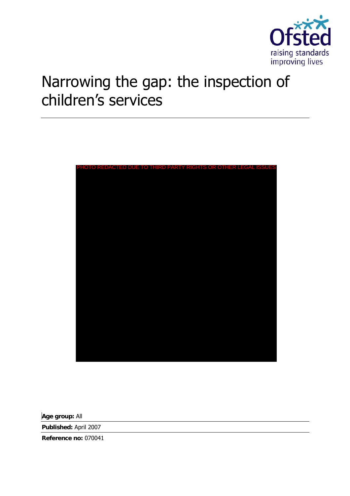

# Narrowing the gap: the inspection of children's services

| PHOTO REDACTED DUE TO THIRD PARTY RIGHTS OR OTHER LEGAL ISSUES |  |  |
|----------------------------------------------------------------|--|--|
|                                                                |  |  |
|                                                                |  |  |
|                                                                |  |  |
|                                                                |  |  |
|                                                                |  |  |
|                                                                |  |  |
|                                                                |  |  |
|                                                                |  |  |
|                                                                |  |  |
|                                                                |  |  |
|                                                                |  |  |
|                                                                |  |  |
|                                                                |  |  |
|                                                                |  |  |
|                                                                |  |  |
|                                                                |  |  |
|                                                                |  |  |
|                                                                |  |  |
|                                                                |  |  |
|                                                                |  |  |
|                                                                |  |  |
|                                                                |  |  |
|                                                                |  |  |
|                                                                |  |  |
|                                                                |  |  |
|                                                                |  |  |
|                                                                |  |  |

**Age group:** All

**Published:** April 2007

**Reference no:** 070041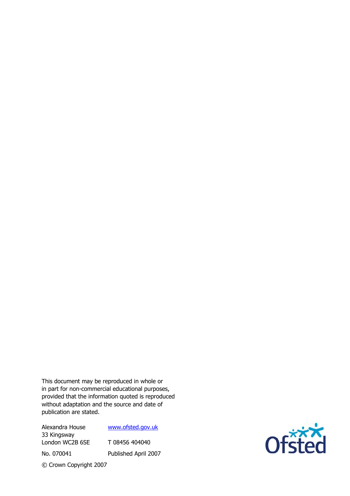This document may be reproduced in whole or in part for non-commercial educational purposes, provided that the information quoted is reproduced without adaptation and the source and date of publication are stated.

Alexandra House 33 Kingsway London WC2B 6SE No. 070041 www.ofsted.gov.uk T 08456 404040 Published April 2007 © Crown Copyright 2007

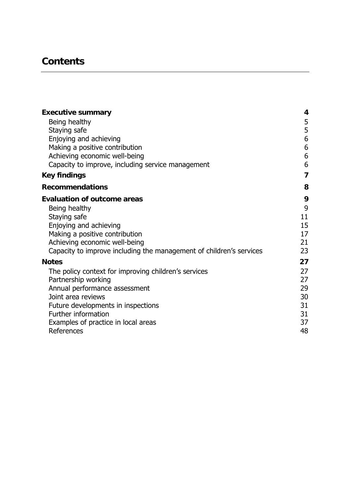# **Contents**

| <b>Executive summary</b>                                            | 4              |
|---------------------------------------------------------------------|----------------|
| Being healthy                                                       | 5              |
| Staying safe                                                        | 5              |
| Enjoying and achieving                                              | 6              |
| Making a positive contribution                                      | 6              |
| Achieving economic well-being                                       | 6              |
| Capacity to improve, including service management                   | 6              |
| <b>Key findings</b>                                                 | $\overline{7}$ |
| <b>Recommendations</b>                                              | 8              |
| <b>Evaluation of outcome areas</b>                                  | 9              |
| Being healthy                                                       | 9              |
| Staying safe                                                        | 11             |
| Enjoying and achieving                                              | 15             |
| Making a positive contribution                                      | 17             |
| Achieving economic well-being                                       | 21             |
| Capacity to improve including the management of children's services | 23             |
| <b>Notes</b>                                                        | 27             |
| The policy context for improving children's services                | 27             |
| Partnership working                                                 | 27             |
| Annual performance assessment                                       | 29             |
| Joint area reviews                                                  | 30             |
| Future developments in inspections                                  | 31             |
| Further information                                                 | 31             |
| Examples of practice in local areas                                 | 37             |
| References                                                          | 48             |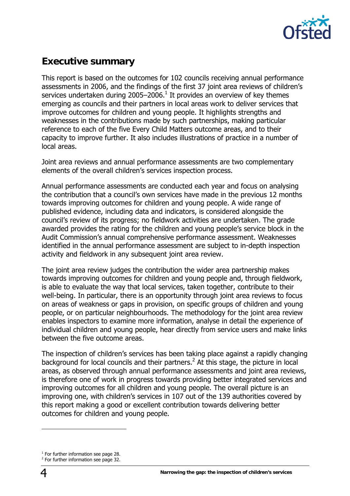

# **Executive summary**

This report is based on the outcomes for 102 councils receiving annual performance assessments in 2006, and the findings of the first 37 joint area reviews of children's services undertaken during 2005–2006. $^1$  It provides an overview of key themes emerging as councils and their partners in local areas work to deliver services that improve outcomes for children and young people. It highlights strengths and weaknesses in the contributions made by such partnerships, making particular reference to each of the five Every Child Matters outcome areas, and to their capacity to improve further. It also includes illustrations of practice in a number of local areas.

Joint area reviews and annual performance assessments are two complementary elements of the overall children's services inspection process.

Annual performance assessments are conducted each year and focus on analysing the contribution that a council's own services have made in the previous 12 months towards improving outcomes for children and young people. A wide range of published evidence, including data and indicators, is considered alongside the council's review of its progress; no fieldwork activities are undertaken. The grade awarded provides the rating for the children and young people's service block in the Audit Commission's annual comprehensive performance assessment. Weaknesses identified in the annual performance assessment are subject to in-depth inspection activity and fieldwork in any subsequent joint area review.

The joint area review judges the contribution the wider area partnership makes towards improving outcomes for children and young people and, through fieldwork, is able to evaluate the way that local services, taken together, contribute to their well-being. In particular, there is an opportunity through joint area reviews to focus on areas of weakness or gaps in provision, on specific groups of children and young people, or on particular neighbourhoods. The methodology for the joint area review enables inspectors to examine more information, analyse in detail the experience of individual children and young people, hear directly from service users and make links between the five outcome areas.

The inspection of children's services has been taking place against a rapidly changing background for local councils and their partners.<sup>2</sup> At this stage, the picture in local areas, as observed through annual performance assessments and joint area reviews, is therefore one of work in progress towards providing better integrated services and improving outcomes for all children and young people. The overall picture is an improving one, with children's services in 107 out of the 139 authorities covered by this report making a good or excellent contribution towards delivering better outcomes for children and young people.

j

<sup>&</sup>lt;sup>1</sup> For further information see page 28.

<sup>&</sup>lt;sup>2</sup> For further information see page 32.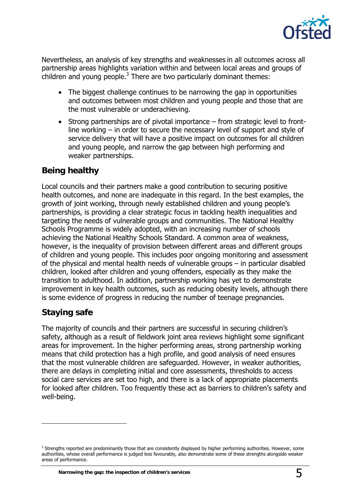

Nevertheless, an analysis of key strengths and weaknesses in all outcomes across all partnership areas highlights variation within and between local areas and groups of children and young people. $3$  There are two particularly dominant themes:

- The biggest challenge continues to be narrowing the gap in opportunities and outcomes between most children and young people and those that are the most vulnerable or underachieving.
- Strong partnerships are of pivotal importance from strategic level to frontline working – in order to secure the necessary level of support and style of service delivery that will have a positive impact on outcomes for all children and young people, and narrow the gap between high performing and weaker partnerships.

### **Being healthy**

Local councils and their partners make a good contribution to securing positive health outcomes, and none are inadequate in this regard. In the best examples, the growth of joint working, through newly established children and young people's partnerships, is providing a clear strategic focus in tackling health inequalities and targeting the needs of vulnerable groups and communities. The National Healthy Schools Programme is widely adopted, with an increasing number of schools achieving the National Healthy Schools Standard. A common area of weakness, however, is the inequality of provision between different areas and different groups of children and young people. This includes poor ongoing monitoring and assessment of the physical and mental health needs of vulnerable groups – in particular disabled children, looked after children and young offenders, especially as they make the transition to adulthood. In addition, partnership working has yet to demonstrate improvement in key health outcomes, such as reducing obesity levels, although there is some evidence of progress in reducing the number of teenage pregnancies.

### **Staying safe**

j

The majority of councils and their partners are successful in securing children's safety, although as a result of fieldwork joint area reviews highlight some significant areas for improvement. In the higher performing areas, strong partnership working means that child protection has a high profile, and good analysis of need ensures that the most vulnerable children are safeguarded. However, in weaker authorities, there are delays in completing initial and core assessments, thresholds to access social care services are set too high, and there is a lack of appropriate placements for looked after children. Too frequently these act as barriers to children's safety and well-being.

<sup>&</sup>lt;sup>3</sup> Strengths reported are predominantly those that are consistently displayed by higher performing authorities. However, some authorities, whose overall performance is judged less favourably, also demonstrate some of these strengths alongside weaker areas of performance.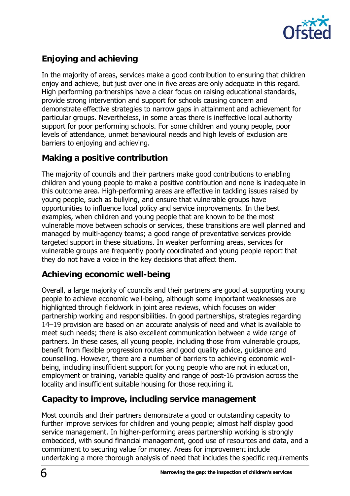

# **Enjoying and achieving**

In the majority of areas, services make a good contribution to ensuring that children enjoy and achieve, but just over one in five areas are only adequate in this regard. High performing partnerships have a clear focus on raising educational standards, provide strong intervention and support for schools causing concern and demonstrate effective strategies to narrow gaps in attainment and achievement for particular groups. Nevertheless, in some areas there is ineffective local authority support for poor performing schools. For some children and young people, poor levels of attendance, unmet behavioural needs and high levels of exclusion are barriers to enjoying and achieving.

### **Making a positive contribution**

The majority of councils and their partners make good contributions to enabling children and young people to make a positive contribution and none is inadequate in this outcome area. High-performing areas are effective in tackling issues raised by young people, such as bullying, and ensure that vulnerable groups have opportunities to influence local policy and service improvements. In the best examples, when children and young people that are known to be the most vulnerable move between schools or services, these transitions are well planned and managed by multi-agency teams; a good range of preventative services provide targeted support in these situations. In weaker performing areas, services for vulnerable groups are frequently poorly coordinated and young people report that they do not have a voice in the key decisions that affect them.

### **Achieving economic well-being**

Overall, a large majority of councils and their partners are good at supporting young people to achieve economic well-being, although some important weaknesses are highlighted through fieldwork in joint area reviews, which focuses on wider partnership working and responsibilities. In good partnerships, strategies regarding 14–19 provision are based on an accurate analysis of need and what is available to meet such needs; there is also excellent communication between a wide range of partners. In these cases, all young people, including those from vulnerable groups, benefit from flexible progression routes and good quality advice, guidance and counselling. However, there are a number of barriers to achieving economic wellbeing, including insufficient support for young people who are not in education, employment or training, variable quality and range of post-16 provision across the locality and insufficient suitable housing for those requiring it.

### **Capacity to improve, including service management**

Most councils and their partners demonstrate a good or outstanding capacity to further improve services for children and young people; almost half display good service management. In higher-performing areas partnership working is strongly embedded, with sound financial management, good use of resources and data, and a commitment to securing value for money. Areas for improvement include undertaking a more thorough analysis of need that includes the specific requirements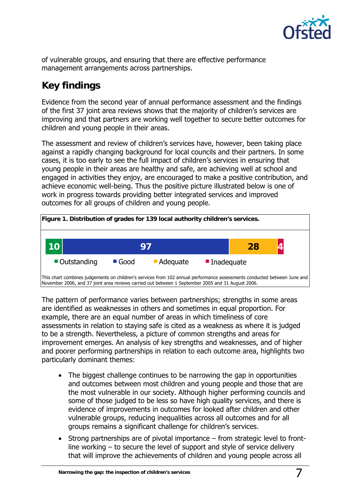

of vulnerable groups, and ensuring that there are effective performance management arrangements across partnerships.

# **Key findings**

Evidence from the second year of annual performance assessment and the findings of the first 37 joint area reviews shows that the majority of children's services are improving and that partners are working well together to secure better outcomes for children and young people in their areas.

The assessment and review of children's services have, however, been taking place against a rapidly changing background for local councils and their partners. In some cases, it is too early to see the full impact of children's services in ensuring that young people in their areas are healthy and safe, are achieving well at school and engaged in activities they enjoy, are encouraged to make a positive contribution, and achieve economic well-being. Thus the positive picture illustrated below is one of work in progress towards providing better integrated services and improved outcomes for all groups of children and young people.



The pattern of performance varies between partnerships; strengths in some areas are identified as weaknesses in others and sometimes in equal proportion. For example, there are an equal number of areas in which timeliness of core assessments in relation to staying safe is cited as a weakness as where it is judged to be a strength. Nevertheless, a picture of common strengths and areas for improvement emerges. An analysis of key strengths and weaknesses, and of higher and poorer performing partnerships in relation to each outcome area, highlights two particularly dominant themes:

- The biggest challenge continues to be narrowing the gap in opportunities and outcomes between most children and young people and those that are the most vulnerable in our society. Although higher performing councils and some of those judged to be less so have high quality services, and there is evidence of improvements in outcomes for looked after children and other vulnerable groups, reducing inequalities across all outcomes and for all groups remains a significant challenge for children's services.
- Strong partnerships are of pivotal importance from strategic level to frontline working – to secure the level of support and style of service delivery that will improve the achievements of children and young people across all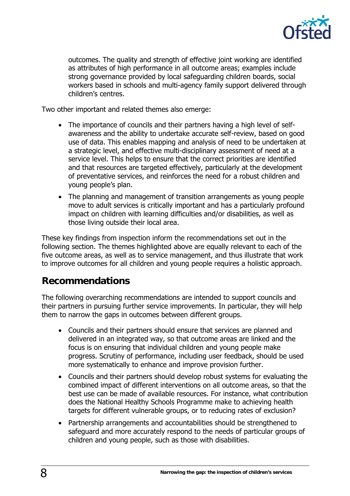

outcomes. The quality and strength of effective joint working are identified as attributes of high performance in all outcome areas; examples include strong governance provided by local safeguarding children boards, social workers based in schools and multi-agency family support delivered through children's centres.

Two other important and related themes also emerge:

- The importance of councils and their partners having a high level of selfawareness and the ability to undertake accurate self-review, based on good use of data. This enables mapping and analysis of need to be undertaken at a strategic level, and effective multi-disciplinary assessment of need at a service level. This helps to ensure that the correct priorities are identified and that resources are targeted effectively, particularly at the development of preventative services, and reinforces the need for a robust children and young people's plan.
- The planning and management of transition arrangements as young people move to adult services is critically important and has a particularly profound impact on children with learning difficulties and/or disabilities, as well as those living outside their local area.

These key findings from inspection inform the recommendations set out in the following section. The themes highlighted above are equally relevant to each of the five outcome areas, as well as to service management, and thus illustrate that work to improve outcomes for all children and young people requires a holistic approach.

# **Recommendations**

The following overarching recommendations are intended to support councils and their partners in pursuing further service improvements. In particular, they will help them to narrow the gaps in outcomes between different groups.

- Councils and their partners should ensure that services are planned and delivered in an integrated way, so that outcome areas are linked and the focus is on ensuring that individual children and young people make progress. Scrutiny of performance, including user feedback, should be used more systematically to enhance and improve provision further.
- Councils and their partners should develop robust systems for evaluating the combined impact of different interventions on all outcome areas, so that the best use can be made of available resources. For instance, what contribution does the National Healthy Schools Programme make to achieving health targets for different vulnerable groups, or to reducing rates of exclusion?
- Partnership arrangements and accountabilities should be strengthened to safeguard and more accurately respond to the needs of particular groups of children and young people, such as those with disabilities.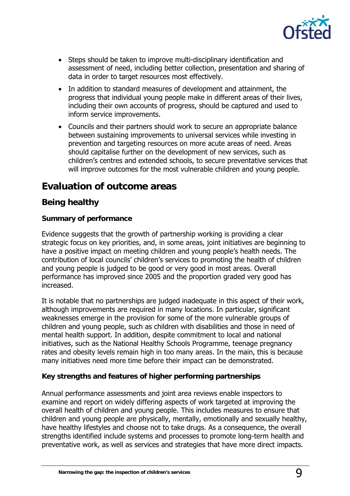

- Steps should be taken to improve multi-disciplinary identification and assessment of need, including better collection, presentation and sharing of data in order to target resources most effectively.
- In addition to standard measures of development and attainment, the progress that individual young people make in different areas of their lives, including their own accounts of progress, should be captured and used to inform service improvements.
- Councils and their partners should work to secure an appropriate balance between sustaining improvements to universal services while investing in prevention and targeting resources on more acute areas of need. Areas should capitalise further on the development of new services, such as children's centres and extended schools, to secure preventative services that will improve outcomes for the most vulnerable children and young people.

## **Evaluation of outcome areas**

### **Being healthy**

### **Summary of performance**

Evidence suggests that the growth of partnership working is providing a clear strategic focus on key priorities, and, in some areas, joint initiatives are beginning to have a positive impact on meeting children and young people's health needs. The contribution of local councils' children's services to promoting the health of children and young people is judged to be good or very good in most areas. Overall performance has improved since 2005 and the proportion graded very good has increased.

It is notable that no partnerships are judged inadequate in this aspect of their work, although improvements are required in many locations. In particular, significant weaknesses emerge in the provision for some of the more vulnerable groups of children and young people, such as children with disabilities and those in need of mental health support. In addition, despite commitment to local and national initiatives, such as the National Healthy Schools Programme, teenage pregnancy rates and obesity levels remain high in too many areas. In the main, this is because many initiatives need more time before their impact can be demonstrated.

### **Key strengths and features of higher performing partnerships**

Annual performance assessments and joint area reviews enable inspectors to examine and report on widely differing aspects of work targeted at improving the overall health of children and young people. This includes measures to ensure that children and young people are physically, mentally, emotionally and sexually healthy, have healthy lifestyles and choose not to take drugs. As a consequence, the overall strengths identified include systems and processes to promote long-term health and preventative work, as well as services and strategies that have more direct impacts.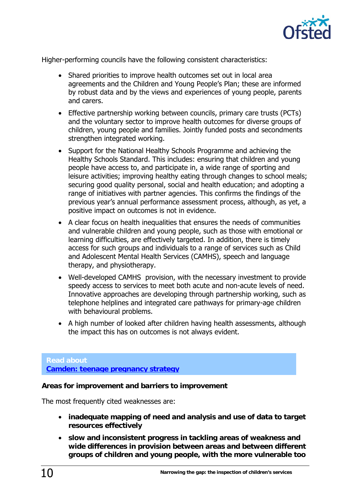

Higher-performing councils have the following consistent characteristics:

- Shared priorities to improve health outcomes set out in local area agreements and the Children and Young People's Plan; these are informed by robust data and by the views and experiences of young people, parents and carers.
- Effective partnership working between councils, primary care trusts (PCTs) and the voluntary sector to improve health outcomes for diverse groups of children, young people and families. Jointly funded posts and secondments strengthen integrated working.
- Support for the National Healthy Schools Programme and achieving the Healthy Schools Standard. This includes: ensuring that children and young people have access to, and participate in, a wide range of sporting and leisure activities; improving healthy eating through changes to school meals; securing good quality personal, social and health education; and adopting a range of initiatives with partner agencies. This confirms the findings of the previous year's annual performance assessment process, although, as yet, a positive impact on outcomes is not in evidence.
- A clear focus on health inequalities that ensures the needs of communities and vulnerable children and young people, such as those with emotional or learning difficulties, are effectively targeted. In addition, there is timely access for such groups and individuals to a range of services such as Child and Adolescent Mental Health Services (CAMHS), speech and language therapy, and physiotherapy.
- Well-developed CAMHS provision, with the necessary investment to provide speedy access to services to meet both acute and non-acute levels of need. Innovative approaches are developing through partnership working, such as telephone helplines and integrated care pathways for primary-age children with behavioural problems.
- A high number of looked after children having health assessments, although the impact this has on outcomes is not always evident.

### **Read about Camden: teenage pregnancy strategy**

#### **Areas for improvement and barriers to improvement**

The most frequently cited weaknesses are:

- **inadequate mapping of need and analysis and use of data to target resources effectively**
- **slow and inconsistent progress in tackling areas of weakness and wide differences in provision between areas and between different groups of children and young people, with the more vulnerable too**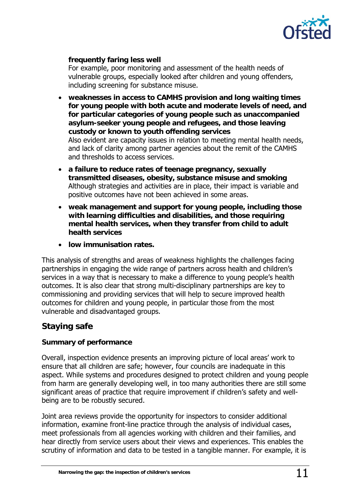

### **frequently faring less well**

For example, poor monitoring and assessment of the health needs of vulnerable groups, especially looked after children and young offenders, including screening for substance misuse.

- **weaknesses in access to CAMHS provision and long waiting times for young people with both acute and moderate levels of need, and for particular categories of young people such as unaccompanied asylum-seeker young people and refugees, and those leaving custody or known to youth offending services**  Also evident are capacity issues in relation to meeting mental health needs, and lack of clarity among partner agencies about the remit of the CAMHS and thresholds to access services.
- **a failure to reduce rates of teenage pregnancy, sexually transmitted diseases, obesity, substance misuse and smoking**  Although strategies and activities are in place, their impact is variable and positive outcomes have not been achieved in some areas.
- **weak management and support for young people, including those with learning difficulties and disabilities, and those requiring mental health services, when they transfer from child to adult health services**
- **low immunisation rates.**

This analysis of strengths and areas of weakness highlights the challenges facing partnerships in engaging the wide range of partners across health and children's services in a way that is necessary to make a difference to young people's health outcomes. It is also clear that strong multi-disciplinary partnerships are key to commissioning and providing services that will help to secure improved health outcomes for children and young people, in particular those from the most vulnerable and disadvantaged groups.

### **Staying safe**

### **Summary of performance**

Overall, inspection evidence presents an improving picture of local areas' work to ensure that all children are safe; however, four councils are inadequate in this aspect. While systems and procedures designed to protect children and young people from harm are generally developing well, in too many authorities there are still some significant areas of practice that require improvement if children's safety and wellbeing are to be robustly secured.

Joint area reviews provide the opportunity for inspectors to consider additional information, examine front-line practice through the analysis of individual cases, meet professionals from all agencies working with children and their families, and hear directly from service users about their views and experiences. This enables the scrutiny of information and data to be tested in a tangible manner. For example, it is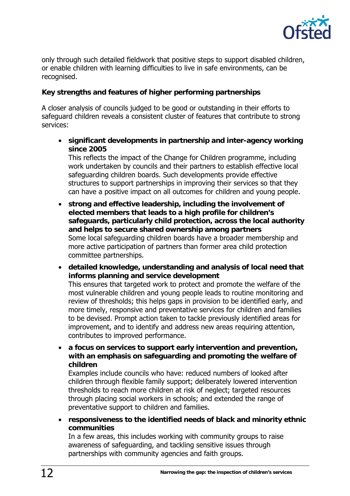

only through such detailed fieldwork that positive steps to support disabled children, or enable children with learning difficulties to live in safe environments, can be recognised.

### **Key strengths and features of higher performing partnerships**

A closer analysis of councils judged to be good or outstanding in their efforts to safeguard children reveals a consistent cluster of features that contribute to strong services:

• **significant developments in partnership and inter-agency working since 2005** 

This reflects the impact of the Change for Children programme, including work undertaken by councils and their partners to establish effective local safeguarding children boards. Such developments provide effective structures to support partnerships in improving their services so that they can have a positive impact on all outcomes for children and young people.

- **strong and effective leadership, including the involvement of elected members that leads to a high profile for children's safeguards, particularly child protection, across the local authority and helps to secure shared ownership among partners** Some local safeguarding children boards have a broader membership and more active participation of partners than former area child protection committee partnerships.
- **detailed knowledge, understanding and analysis of local need that informs planning and service development**

This ensures that targeted work to protect and promote the welfare of the most vulnerable children and young people leads to routine monitoring and review of thresholds; this helps gaps in provision to be identified early, and more timely, responsive and preventative services for children and families to be devised. Prompt action taken to tackle previously identified areas for improvement, and to identify and address new areas requiring attention, contributes to improved performance.

• **a focus on services to support early intervention and prevention, with an emphasis on safeguarding and promoting the welfare of children** 

Examples include councils who have: reduced numbers of looked after children through flexible family support; deliberately lowered intervention thresholds to reach more children at risk of neglect; targeted resources through placing social workers in schools; and extended the range of preventative support to children and families.

• **responsiveness to the identified needs of black and minority ethnic communities** 

In a few areas, this includes working with community groups to raise awareness of safeguarding, and tackling sensitive issues through partnerships with community agencies and faith groups.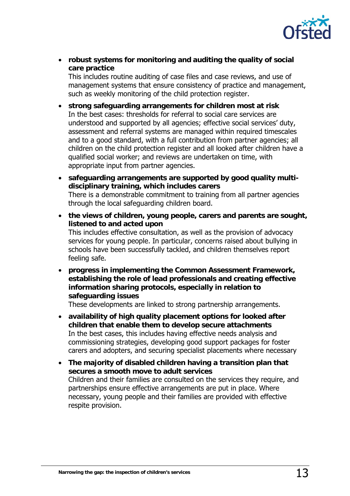

• **robust systems for monitoring and auditing the quality of social care practice** 

This includes routine auditing of case files and case reviews, and use of management systems that ensure consistency of practice and management, such as weekly monitoring of the child protection register.

- **strong safeguarding arrangements for children most at risk** In the best cases: thresholds for referral to social care services are understood and supported by all agencies; effective social services' duty, assessment and referral systems are managed within required timescales and to a good standard, with a full contribution from partner agencies; all children on the child protection register and all looked after children have a qualified social worker; and reviews are undertaken on time, with appropriate input from partner agencies.
- **safeguarding arrangements are supported by good quality multidisciplinary training, which includes carers**  There is a demonstrable commitment to training from all partner agencies through the local safeguarding children board.
- **the views of children, young people, carers and parents are sought, listened to and acted upon**  This includes effective consultation, as well as the provision of advocacy services for young people. In particular, concerns raised about bullying in schools have been successfully tackled, and children themselves report feeling safe.
- **progress in implementing the Common Assessment Framework, establishing the role of lead professionals and creating effective information sharing protocols, especially in relation to safeguarding issues**

These developments are linked to strong partnership arrangements.

- **availability of high quality placement options for looked after children that enable them to develop secure attachments**  In the best cases, this includes having effective needs analysis and commissioning strategies, developing good support packages for foster carers and adopters, and securing specialist placements where necessary
- **The majority of disabled children having a transition plan that secures a smooth move to adult services**  Children and their families are consulted on the services they require, and partnerships ensure effective arrangements are put in place. Where necessary, young people and their families are provided with effective respite provision.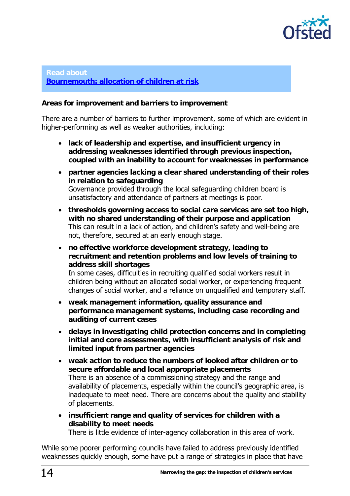

#### **Read about**

**Bournemouth: allocation of children at risk**

#### **Areas for improvement and barriers to improvement**

There are a number of barriers to further improvement, some of which are evident in higher-performing as well as weaker authorities, including:

- **lack of leadership and expertise, and insufficient urgency in addressing weaknesses identified through previous inspection, coupled with an inability to account for weaknesses in performance**
- **partner agencies lacking a clear shared understanding of their roles in relation to safeguarding**  Governance provided through the local safeguarding children board is unsatisfactory and attendance of partners at meetings is poor.
- **thresholds governing access to social care services are set too high, with no shared understanding of their purpose and application**  This can result in a lack of action, and children's safety and well-being are not, therefore, secured at an early enough stage.
- **no effective workforce development strategy, leading to recruitment and retention problems and low levels of training to address skill shortages**

In some cases, difficulties in recruiting qualified social workers result in children being without an allocated social worker, or experiencing frequent changes of social worker, and a reliance on unqualified and temporary staff.

- **weak management information, quality assurance and performance management systems, including case recording and auditing of current cases**
- **delays in investigating child protection concerns and in completing initial and core assessments, with insufficient analysis of risk and limited input from partner agencies**
- **weak action to reduce the numbers of looked after children or to secure affordable and local appropriate placements**  There is an absence of a commissioning strategy and the range and availability of placements, especially within the council's geographic area, is inadequate to meet need. There are concerns about the quality and stability of placements.
- **insufficient range and quality of services for children with a disability to meet needs**

There is little evidence of inter-agency collaboration in this area of work.

While some poorer performing councils have failed to address previously identified weaknesses quickly enough, some have put a range of strategies in place that have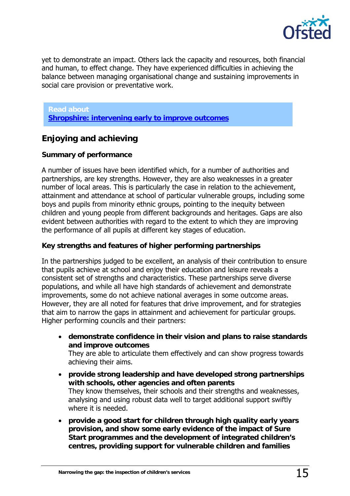

yet to demonstrate an impact. Others lack the capacity and resources, both financial and human, to effect change. They have experienced difficulties in achieving the balance between managing organisational change and sustaining improvements in social care provision or preventative work.

**Read about Shropshire: intervening early to improve outcomes**

### **Enjoying and achieving**

### **Summary of performance**

A number of issues have been identified which, for a number of authorities and partnerships, are key strengths. However, they are also weaknesses in a greater number of local areas. This is particularly the case in relation to the achievement, attainment and attendance at school of particular vulnerable groups, including some boys and pupils from minority ethnic groups, pointing to the inequity between children and young people from different backgrounds and heritages. Gaps are also evident between authorities with regard to the extent to which they are improving the performance of all pupils at different key stages of education.

### **Key strengths and features of higher performing partnerships**

In the partnerships judged to be excellent, an analysis of their contribution to ensure that pupils achieve at school and enjoy their education and leisure reveals a consistent set of strengths and characteristics. These partnerships serve diverse populations, and while all have high standards of achievement and demonstrate improvements, some do not achieve national averages in some outcome areas. However, they are all noted for features that drive improvement, and for strategies that aim to narrow the gaps in attainment and achievement for particular groups. Higher performing councils and their partners:

- **demonstrate confidence in their vision and plans to raise standards and improve outcomes**  They are able to articulate them effectively and can show progress towards achieving their aims.
- **provide strong leadership and have developed strong partnerships with schools, other agencies and often parents**  They know themselves, their schools and their strengths and weaknesses, analysing and using robust data well to target additional support swiftly where it is needed.
- **provide a good start for children through high quality early years provision, and show some early evidence of the impact of Sure Start programmes and the development of integrated children's centres, providing support for vulnerable children and families**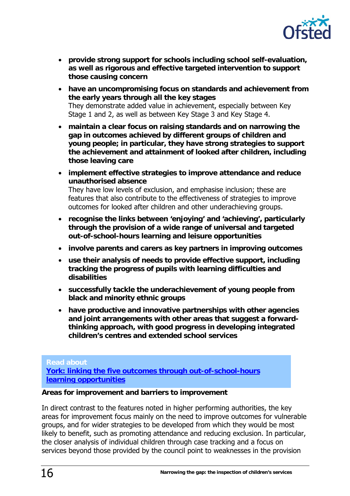

- **provide strong support for schools including school self-evaluation, as well as rigorous and effective targeted intervention to support those causing concern**
- **have an uncompromising focus on standards and achievement from the early years through all the key stages**  They demonstrate added value in achievement, especially between Key Stage 1 and 2, as well as between Key Stage 3 and Key Stage 4.
- **maintain a clear focus on raising standards and on narrowing the gap in outcomes achieved by different groups of children and young people; in particular, they have strong strategies to support the achievement and attainment of looked after children, including those leaving care**
- **implement effective strategies to improve attendance and reduce unauthorised absence**  They have low levels of exclusion, and emphasise inclusion; these are

features that also contribute to the effectiveness of strategies to improve outcomes for looked after children and other underachieving groups.

- **recognise the links between 'enjoying' and 'achieving', particularly through the provision of a wide range of universal and targeted out-of-school-hours learning and leisure opportunities**
- **involve parents and carers as key partners in improving outcomes**
- **use their analysis of needs to provide effective support, including tracking the progress of pupils with learning difficulties and disabilities**
- **successfully tackle the underachievement of young people from black and minority ethnic groups**
- **have productive and innovative partnerships with other agencies and joint arrangements with other areas that suggest a forwardthinking approach, with good progress in developing integrated children's centres and extended school services**

### **Read about**

**York: linking the five outcomes through out-of-school-hours learning opportunities** 

### **Areas for improvement and barriers to improvement**

In direct contrast to the features noted in higher performing authorities, the key areas for improvement focus mainly on the need to improve outcomes for vulnerable groups, and for wider strategies to be developed from which they would be most likely to benefit, such as promoting attendance and reducing exclusion. In particular, the closer analysis of individual children through case tracking and a focus on services beyond those provided by the council point to weaknesses in the provision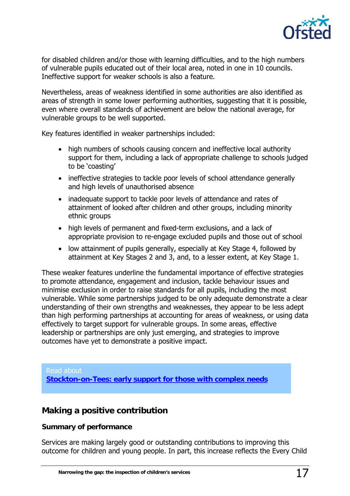

for disabled children and/or those with learning difficulties, and to the high numbers of vulnerable pupils educated out of their local area, noted in one in 10 councils. Ineffective support for weaker schools is also a feature.

Nevertheless, areas of weakness identified in some authorities are also identified as areas of strength in some lower performing authorities, suggesting that it is possible, even where overall standards of achievement are below the national average, for vulnerable groups to be well supported.

Key features identified in weaker partnerships included:

- high numbers of schools causing concern and ineffective local authority support for them, including a lack of appropriate challenge to schools judged to be 'coasting'
- ineffective strategies to tackle poor levels of school attendance generally and high levels of unauthorised absence
- inadequate support to tackle poor levels of attendance and rates of attainment of looked after children and other groups, including minority ethnic groups
- high levels of permanent and fixed-term exclusions, and a lack of appropriate provision to re-engage excluded pupils and those out of school
- low attainment of pupils generally, especially at Key Stage 4, followed by attainment at Key Stages 2 and 3, and, to a lesser extent, at Key Stage 1.

These weaker features underline the fundamental importance of effective strategies to promote attendance, engagement and inclusion, tackle behaviour issues and minimise exclusion in order to raise standards for all pupils, including the most vulnerable. While some partnerships judged to be only adequate demonstrate a clear understanding of their own strengths and weaknesses, they appear to be less adept than high performing partnerships at accounting for areas of weakness, or using data effectively to target support for vulnerable groups. In some areas, effective leadership or partnerships are only just emerging, and strategies to improve outcomes have yet to demonstrate a positive impact.

Read about **Stockton-on-Tees: early support for those with complex needs** 

### **Making a positive contribution**

### **Summary of performance**

Services are making largely good or outstanding contributions to improving this outcome for children and young people. In part, this increase reflects the Every Child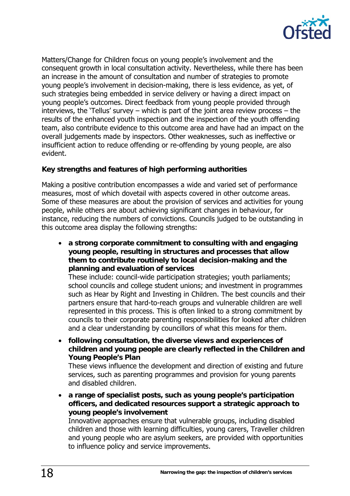

Matters/Change for Children focus on young people's involvement and the consequent growth in local consultation activity. Nevertheless, while there has been an increase in the amount of consultation and number of strategies to promote young people's involvement in decision-making, there is less evidence, as yet, of such strategies being embedded in service delivery or having a direct impact on young people's outcomes. Direct feedback from young people provided through interviews, the 'Tellus' survey – which is part of the joint area review process – the results of the enhanced youth inspection and the inspection of the youth offending team, also contribute evidence to this outcome area and have had an impact on the overall judgements made by inspectors. Other weaknesses, such as ineffective or insufficient action to reduce offending or re-offending by young people, are also evident.

### **Key strengths and features of high performing authorities**

Making a positive contribution encompasses a wide and varied set of performance measures, most of which dovetail with aspects covered in other outcome areas. Some of these measures are about the provision of services and activities for young people, while others are about achieving significant changes in behaviour, for instance, reducing the numbers of convictions. Councils judged to be outstanding in this outcome area display the following strengths:

• **a strong corporate commitment to consulting with and engaging young people, resulting in structures and processes that allow them to contribute routinely to local decision-making and the planning and evaluation of services** 

These include: council-wide participation strategies; youth parliaments; school councils and college student unions; and investment in programmes such as Hear by Right and Investing in Children. The best councils and their partners ensure that hard-to-reach groups and vulnerable children are well represented in this process. This is often linked to a strong commitment by councils to their corporate parenting responsibilities for looked after children and a clear understanding by councillors of what this means for them.

• **following consultation, the diverse views and experiences of children and young people are clearly reflected in the Children and Young People's Plan** 

These views influence the development and direction of existing and future services, such as parenting programmes and provision for young parents and disabled children.

• **a range of specialist posts, such as young people's participation officers, and dedicated resources support a strategic approach to young people's involvement** 

Innovative approaches ensure that vulnerable groups, including disabled children and those with learning difficulties, young carers, Traveller children and young people who are asylum seekers, are provided with opportunities to influence policy and service improvements.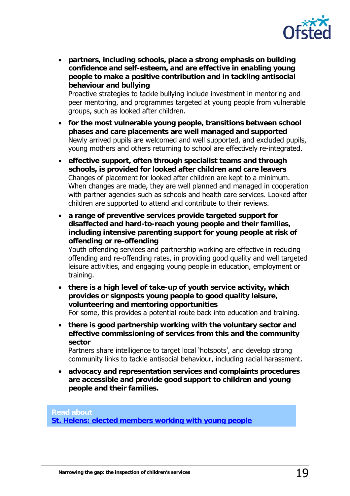

• **partners, including schools, place a strong emphasis on building confidence and self-esteem, and are effective in enabling young people to make a positive contribution and in tackling antisocial behaviour and bullying** 

Proactive strategies to tackle bullying include investment in mentoring and peer mentoring, and programmes targeted at young people from vulnerable groups, such as looked after children.

- **for the most vulnerable young people, transitions between school phases and care placements are well managed and supported**  Newly arrived pupils are welcomed and well supported, and excluded pupils, young mothers and others returning to school are effectively re-integrated.
- **effective support, often through specialist teams and through schools, is provided for looked after children and care leavers**  Changes of placement for looked after children are kept to a minimum. When changes are made, they are well planned and managed in cooperation with partner agencies such as schools and health care services. Looked after children are supported to attend and contribute to their reviews.
- **a range of preventive services provide targeted support for disaffected and hard-to-reach young people and their families, including intensive parenting support for young people at risk of offending or re-offending**

Youth offending services and partnership working are effective in reducing offending and re-offending rates, in providing good quality and well targeted leisure activities, and engaging young people in education, employment or training.

- **there is a high level of take-up of youth service activity, which provides or signposts young people to good quality leisure, volunteering and mentoring opportunities**  For some, this provides a potential route back into education and training.
- **there is good partnership working with the voluntary sector and effective commissioning of services from this and the community sector**

Partners share intelligence to target local 'hotspots', and develop strong community links to tackle antisocial behaviour, including racial harassment.

• **advocacy and representation services and complaints procedures are accessible and provide good support to children and young people and their families.** 

**Read about** 

**St. Helens: elected members working with young people**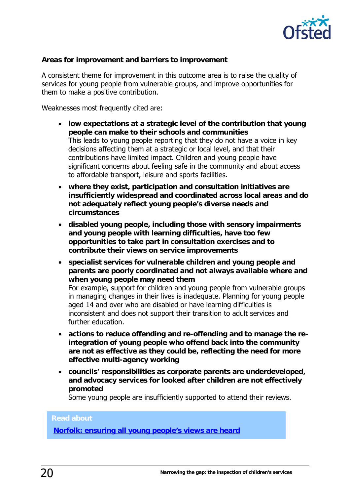

### **Areas for improvement and barriers to improvement**

A consistent theme for improvement in this outcome area is to raise the quality of services for young people from vulnerable groups, and improve opportunities for them to make a positive contribution.

Weaknesses most frequently cited are:

- **low expectations at a strategic level of the contribution that young people can make to their schools and communities**  This leads to young people reporting that they do not have a voice in key decisions affecting them at a strategic or local level, and that their contributions have limited impact. Children and young people have significant concerns about feeling safe in the community and about access to affordable transport, leisure and sports facilities.
- **where they exist, participation and consultation initiatives are insufficiently widespread and coordinated across local areas and do not adequately reflect young people's diverse needs and circumstances**
- **disabled young people, including those with sensory impairments and young people with learning difficulties, have too few opportunities to take part in consultation exercises and to contribute their views on service improvements**
- **specialist services for vulnerable children and young people and parents are poorly coordinated and not always available where and when young people may need them**  For example, support for children and young people from vulnerable groups in managing changes in their lives is inadequate. Planning for young people aged 14 and over who are disabled or have learning difficulties is inconsistent and does not support their transition to adult services and further education.
- **actions to reduce offending and re-offending and to manage the reintegration of young people who offend back into the community are not as effective as they could be, reflecting the need for more effective multi-agency working**
- **councils' responsibilities as corporate parents are underdeveloped, and advocacy services for looked after children are not effectively promoted**

Some young people are insufficiently supported to attend their reviews.

#### **Read about**

**Norfolk: ensuring all young people's views are heard**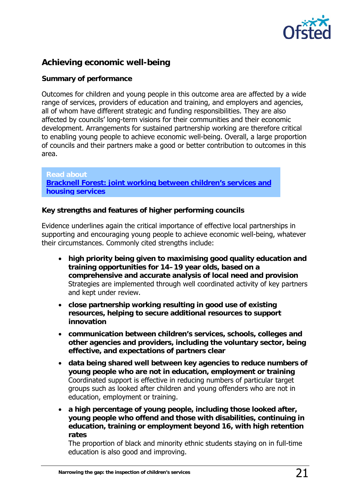

### **Achieving economic well-being**

### **Summary of performance**

Outcomes for children and young people in this outcome area are affected by a wide range of services, providers of education and training, and employers and agencies, all of whom have different strategic and funding responsibilities. They are also affected by councils' long-term visions for their communities and their economic development. Arrangements for sustained partnership working are therefore critical to enabling young people to achieve economic well-being. Overall, a large proportion of councils and their partners make a good or better contribution to outcomes in this area.

**Read about Bracknell Forest: joint working between children's services and housing services**

#### **Key strengths and features of higher performing councils**

Evidence underlines again the critical importance of effective local partnerships in supporting and encouraging young people to achieve economic well-being, whatever their circumstances. Commonly cited strengths include:

- **high priority being given to maximising good quality education and training opportunities for 14–19 year olds, based on a comprehensive and accurate analysis of local need and provision** Strategies are implemented through well coordinated activity of key partners and kept under review.
- **close partnership working resulting in good use of existing resources, helping to secure additional resources to support innovation**
- **communication between children's services, schools, colleges and other agencies and providers, including the voluntary sector, being effective, and expectations of partners clear**
- **data being shared well between key agencies to reduce numbers of young people who are not in education, employment or training**  Coordinated support is effective in reducing numbers of particular target groups such as looked after children and young offenders who are not in education, employment or training.
- **a high percentage of young people, including those looked after, young people who offend and those with disabilities, continuing in education, training or employment beyond 16, with high retention rates**

The proportion of black and minority ethnic students staying on in full-time education is also good and improving.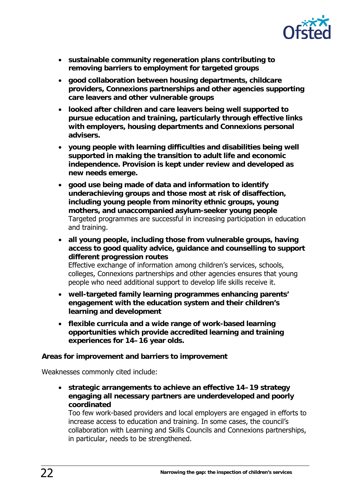

- **sustainable community regeneration plans contributing to removing barriers to employment for targeted groups**
- **good collaboration between housing departments, childcare providers, Connexions partnerships and other agencies supporting care leavers and other vulnerable groups**
- **looked after children and care leavers being well supported to pursue education and training, particularly through effective links with employers, housing departments and Connexions personal advisers.**
- **young people with learning difficulties and disabilities being well supported in making the transition to adult life and economic independence. Provision is kept under review and developed as new needs emerge.**
- **good use being made of data and information to identify underachieving groups and those most at risk of disaffection, including young people from minority ethnic groups, young mothers, and unaccompanied asylum-seeker young people**  Targeted programmes are successful in increasing participation in education and training.
- **all young people, including those from vulnerable groups, having access to good quality advice, guidance and counselling to support different progression routes**  Effective exchange of information among children's services, schools, colleges, Connexions partnerships and other agencies ensures that young people who need additional support to develop life skills receive it.
- **well-targeted family learning programmes enhancing parents' engagement with the education system and their children's learning and development**
- **flexible curricula and a wide range of work-based learning opportunities which provide accredited learning and training experiences for 14–16 year olds.**

#### **Areas for improvement and barriers to improvement**

Weaknesses commonly cited include:

• **strategic arrangements to achieve an effective 14–19 strategy engaging all necessary partners are underdeveloped and poorly coordinated** 

Too few work-based providers and local employers are engaged in efforts to increase access to education and training. In some cases, the council's collaboration with Learning and Skills Councils and Connexions partnerships, in particular, needs to be strengthened.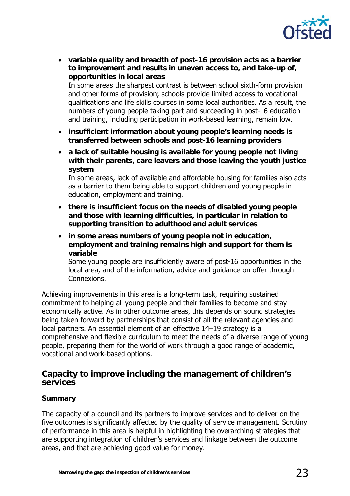

• **variable quality and breadth of post-16 provision acts as a barrier to improvement and results in uneven access to, and take-up of, opportunities in local areas** 

In some areas the sharpest contrast is between school sixth-form provision and other forms of provision; schools provide limited access to vocational qualifications and life skills courses in some local authorities. As a result, the numbers of young people taking part and succeeding in post-16 education and training, including participation in work-based learning, remain low.

- **insufficient information about young people's learning needs is transferred between schools and post-16 learning providers**
- **a lack of suitable housing is available for young people not living with their parents, care leavers and those leaving the youth justice system**

In some areas, lack of available and affordable housing for families also acts as a barrier to them being able to support children and young people in education, employment and training.

- **there is insufficient focus on the needs of disabled young people and those with learning difficulties, in particular in relation to supporting transition to adulthood and adult services**
- **in some areas numbers of young people not in education, employment and training remains high and support for them is variable**

Some young people are insufficiently aware of post-16 opportunities in the local area, and of the information, advice and guidance on offer through Connexions.

Achieving improvements in this area is a long-term task, requiring sustained commitment to helping all young people and their families to become and stay economically active. As in other outcome areas, this depends on sound strategies being taken forward by partnerships that consist of all the relevant agencies and local partners. An essential element of an effective 14–19 strategy is a comprehensive and flexible curriculum to meet the needs of a diverse range of young people, preparing them for the world of work through a good range of academic, vocational and work-based options.

### **Capacity to improve including the management of children's services**

### **Summary**

The capacity of a council and its partners to improve services and to deliver on the five outcomes is significantly affected by the quality of service management. Scrutiny of performance in this area is helpful in highlighting the overarching strategies that are supporting integration of children's services and linkage between the outcome areas, and that are achieving good value for money.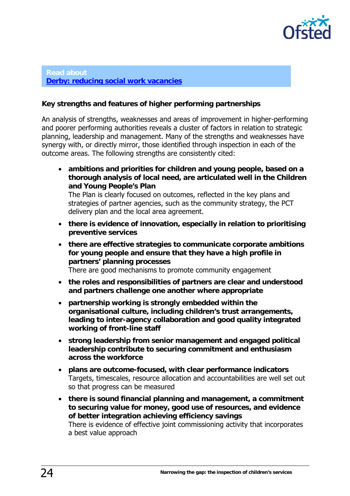

#### **Read about Derby: reducing social work vacancies**

### **Key strengths and features of higher performing partnerships**

An analysis of strengths, weaknesses and areas of improvement in higher-performing and poorer performing authorities reveals a cluster of factors in relation to strategic planning, leadership and management. Many of the strengths and weaknesses have synergy with, or directly mirror, those identified through inspection in each of the outcome areas. The following strengths are consistently cited:

• **ambitions and priorities for children and young people, based on a thorough analysis of local need, are articulated well in the Children and Young People's Plan** 

The Plan is clearly focused on outcomes, reflected in the key plans and strategies of partner agencies, such as the community strategy, the PCT delivery plan and the local area agreement.

- **there is evidence of innovation, especially in relation to prioritising preventive services**
- **there are effective strategies to communicate corporate ambitions for young people and ensure that they have a high profile in partners' planning processes**  There are good mechanisms to promote community engagement
- **the roles and responsibilities of partners are clear and understood and partners challenge one another where appropriate**
- **partnership working is strongly embedded within the organisational culture, including children's trust arrangements, leading to inter-agency collaboration and good quality integrated working of front-line staff**
- **strong leadership from senior management and engaged political leadership contribute to securing commitment and enthusiasm across the workforce**
- **plans are outcome-focused, with clear performance indicators** Targets, timescales, resource allocation and accountabilities are well set out so that progress can be measured
- **there is sound financial planning and management, a commitment to securing value for money, good use of resources, and evidence of better integration achieving efficiency savings**  There is evidence of effective joint commissioning activity that incorporates a best value approach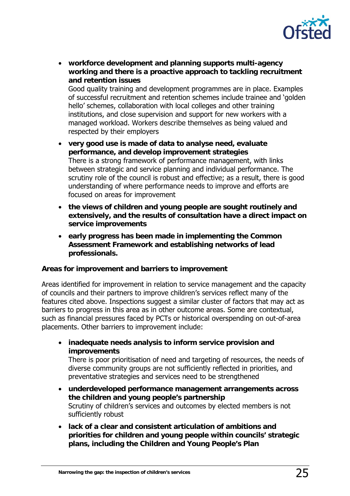

• **workforce development and planning supports multi-agency working and there is a proactive approach to tackling recruitment and retention issues**

Good quality training and development programmes are in place. Examples of successful recruitment and retention schemes include trainee and 'golden hello' schemes, collaboration with local colleges and other training institutions, and close supervision and support for new workers with a managed workload. Workers describe themselves as being valued and respected by their employers

- **very good use is made of data to analyse need, evaluate performance, and develop improvement strategies**  There is a strong framework of performance management, with links between strategic and service planning and individual performance. The scrutiny role of the council is robust and effective; as a result, there is good understanding of where performance needs to improve and efforts are focused on areas for improvement
- **the views of children and young people are sought routinely and extensively, and the results of consultation have a direct impact on service improvements**
- **early progress has been made in implementing the Common Assessment Framework and establishing networks of lead professionals.**

### **Areas for improvement and barriers to improvement**

Areas identified for improvement in relation to service management and the capacity of councils and their partners to improve children's services reflect many of the features cited above. Inspections suggest a similar cluster of factors that may act as barriers to progress in this area as in other outcome areas. Some are contextual, such as financial pressures faced by PCTs or historical overspending on out-of-area placements. Other barriers to improvement include:

• **inadequate needs analysis to inform service provision and improvements**

There is poor prioritisation of need and targeting of resources, the needs of diverse community groups are not sufficiently reflected in priorities, and preventative strategies and services need to be strengthened

- **underdeveloped performance management arrangements across the children and young people's partnership**  Scrutiny of children's services and outcomes by elected members is not sufficiently robust
- **lack of a clear and consistent articulation of ambitions and priorities for children and young people within councils' strategic plans, including the Children and Young People's Plan**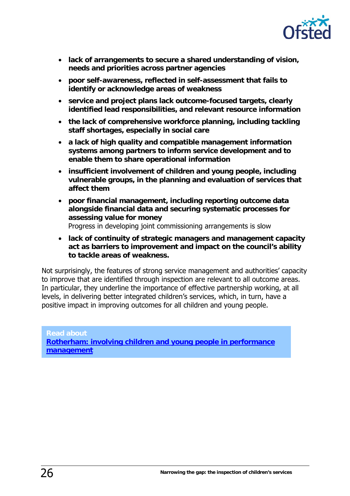

- **lack of arrangements to secure a shared understanding of vision, needs and priorities across partner agencies**
- **poor self-awareness, reflected in self-assessment that fails to identify or acknowledge areas of weakness**
- **service and project plans lack outcome-focused targets, clearly identified lead responsibilities, and relevant resource information**
- **the lack of comprehensive workforce planning, including tackling staff shortages, especially in social care**
- **a lack of high quality and compatible management information systems among partners to inform service development and to enable them to share operational information**
- **insufficient involvement of children and young people, including vulnerable groups, in the planning and evaluation of services that affect them**
- **poor financial management, including reporting outcome data alongside financial data and securing systematic processes for assessing value for money** Progress in developing joint commissioning arrangements is slow
- **lack of continuity of strategic managers and management capacity act as barriers to improvement and impact on the council's ability to tackle areas of weakness.**

Not surprisingly, the features of strong service management and authorities' capacity to improve that are identified through inspection are relevant to all outcome areas. In particular, they underline the importance of effective partnership working, at all levels, in delivering better integrated children's services, which, in turn, have a positive impact in improving outcomes for all children and young people.

**Read about Rotherham: involving children and young people in performance management**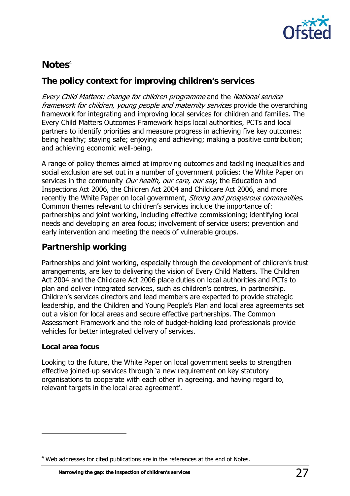

# **Notes**<sup>4</sup>

### **The policy context for improving children's services**

Every Child Matters: change for children programme and the National service framework for children, young people and maternity services provide the overarching framework for integrating and improving local services for children and families. The Every Child Matters Outcomes Framework helps local authorities, PCTs and local partners to identify priorities and measure progress in achieving five key outcomes: being healthy; staying safe; enjoying and achieving; making a positive contribution; and achieving economic well-being.

A range of policy themes aimed at improving outcomes and tackling inequalities and social exclusion are set out in a number of government policies: the White Paper on services in the community Our health, our care, our say, the Education and Inspections Act 2006, the Children Act 2004 and Childcare Act 2006, and more recently the White Paper on local government, Strong and prosperous communities. Common themes relevant to children's services include the importance of: partnerships and joint working, including effective commissioning; identifying local needs and developing an area focus; involvement of service users; prevention and early intervention and meeting the needs of vulnerable groups.

### **Partnership working**

Partnerships and joint working, especially through the development of children's trust arrangements, are key to delivering the vision of Every Child Matters. The Children Act 2004 and the Childcare Act 2006 place duties on local authorities and PCTs to plan and deliver integrated services, such as children's centres, in partnership. Children's services directors and lead members are expected to provide strategic leadership, and the Children and Young People's Plan and local area agreements set out a vision for local areas and secure effective partnerships. The Common Assessment Framework and the role of budget-holding lead professionals provide vehicles for better integrated delivery of services.

### **Local area focus**

j

Looking to the future, the White Paper on local government seeks to strengthen effective joined-up services through 'a new requirement on key statutory organisations to cooperate with each other in agreeing, and having regard to, relevant targets in the local area agreement'.

<sup>&</sup>lt;sup>4</sup> Web addresses for cited publications are in the references at the end of Notes.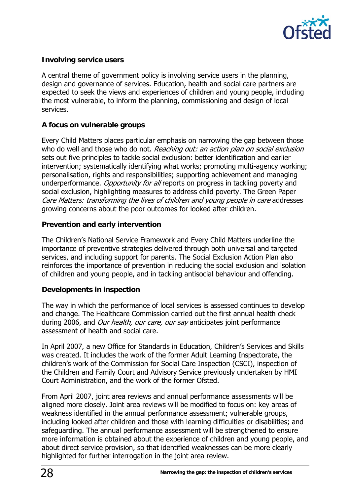

### **Involving service users**

A central theme of government policy is involving service users in the planning, design and governance of services. Education, health and social care partners are expected to seek the views and experiences of children and young people, including the most vulnerable, to inform the planning, commissioning and design of local services.

### **A focus on vulnerable groups**

Every Child Matters places particular emphasis on narrowing the gap between those who do well and those who do not. Reaching out: an action plan on social exclusion sets out five principles to tackle social exclusion: better identification and earlier intervention; systematically identifying what works; promoting multi-agency working; personalisation, rights and responsibilities; supporting achievement and managing underperformance. *Opportunity for all* reports on progress in tackling poverty and social exclusion, highlighting measures to address child poverty. The Green Paper Care Matters: transforming the lives of children and young people in care addresses growing concerns about the poor outcomes for looked after children.

### **Prevention and early intervention**

The Children's National Service Framework and Every Child Matters underline the importance of preventive strategies delivered through both universal and targeted services, and including support for parents. The Social Exclusion Action Plan also reinforces the importance of prevention in reducing the social exclusion and isolation of children and young people, and in tackling antisocial behaviour and offending.

### **Developments in inspection**

The way in which the performance of local services is assessed continues to develop and change. The Healthcare Commission carried out the first annual health check during 2006, and *Our health, our care, our say* anticipates joint performance assessment of health and social care.

In April 2007, a new Office for Standards in Education, Children's Services and Skills was created. It includes the work of the former Adult Learning Inspectorate, the children's work of the Commission for Social Care Inspection (CSCI), inspection of the Children and Family Court and Advisory Service previously undertaken by HMI Court Administration, and the work of the former Ofsted.

From April 2007, joint area reviews and annual performance assessments will be aligned more closely. Joint area reviews will be modified to focus on: key areas of weakness identified in the annual performance assessment; vulnerable groups, including looked after children and those with learning difficulties or disabilities; and safeguarding. The annual performance assessment will be strengthened to ensure more information is obtained about the experience of children and young people, and about direct service provision, so that identified weaknesses can be more clearly highlighted for further interrogation in the joint area review.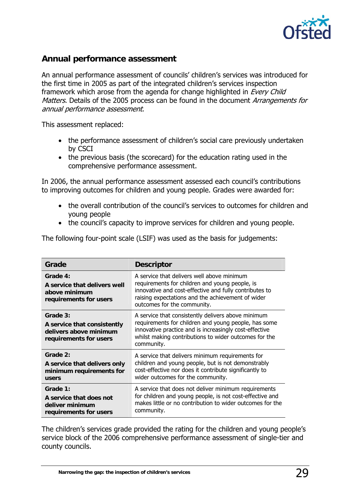

### **Annual performance assessment**

An annual performance assessment of councils' children's services was introduced for the first time in 2005 as part of the integrated children's services inspection framework which arose from the agenda for change highlighted in *Every Child* Matters. Details of the 2005 process can be found in the document *Arrangements for* annual performance assessment.

This assessment replaced:

- the performance assessment of children's social care previously undertaken by CSCI
- the previous basis (the scorecard) for the education rating used in the comprehensive performance assessment.

In 2006, the annual performance assessment assessed each council's contributions to improving outcomes for children and young people. Grades were awarded for:

- the overall contribution of the council's services to outcomes for children and young people
- the council's capacity to improve services for children and young people.

The following four-point scale (LSIF) was used as the basis for judgements:

| Grade                                                                                       | <b>Descriptor</b>                                                                                                                                                                                                                           |
|---------------------------------------------------------------------------------------------|---------------------------------------------------------------------------------------------------------------------------------------------------------------------------------------------------------------------------------------------|
| Grade 4:<br>A service that delivers well<br>above minimum<br>requirements for users         | A service that delivers well above minimum<br>requirements for children and young people, is<br>innovative and cost-effective and fully contributes to<br>raising expectations and the achievement of wider<br>outcomes for the community.  |
| Grade 3:<br>A service that consistently<br>delivers above minimum<br>requirements for users | A service that consistently delivers above minimum<br>requirements for children and young people, has some<br>innovative practice and is increasingly cost-effective<br>whilst making contributions to wider outcomes for the<br>community. |
| Grade 2:<br>A service that delivers only<br>minimum requirements for<br>users               | A service that delivers minimum requirements for<br>children and young people, but is not demonstrably<br>cost-effective nor does it contribute significantly to<br>wider outcomes for the community.                                       |
| Grade 1:<br>A service that does not<br>deliver minimum<br>requirements for users            | A service that does not deliver minimum requirements<br>for children and young people, is not cost-effective and<br>makes little or no contribution to wider outcomes for the<br>community.                                                 |

The children's services grade provided the rating for the children and young people's service block of the 2006 comprehensive performance assessment of single-tier and county councils.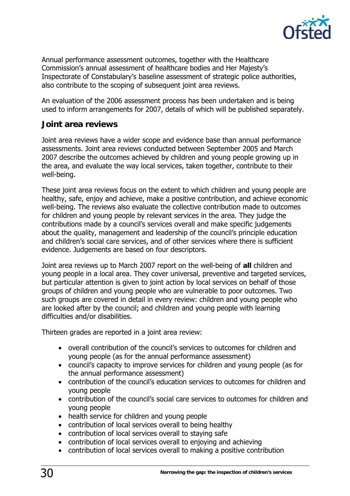

Annual performance assessment outcomes, together with the Healthcare Commission's annual assessment of healthcare bodies and Her Majesty's Inspectorate of Constabulary's baseline assessment of strategic police authorities, also contribute to the scoping of subsequent joint area reviews.

An evaluation of the 2006 assessment process has been undertaken and is being used to inform arrangements for 2007, details of which will be published separately.

### **Joint area reviews**

Joint area reviews have a wider scope and evidence base than annual performance assessments. Joint area reviews conducted between September 2005 and March 2007 describe the outcomes achieved by children and young people growing up in the area, and evaluate the way local services, taken together, contribute to their well-being.

These joint area reviews focus on the extent to which children and young people are healthy, safe, enjoy and achieve, make a positive contribution, and achieve economic well-being. The reviews also evaluate the collective contribution made to outcomes for children and young people by relevant services in the area. They judge the contributions made by a council's services overall and make specific judgements about the quality, management and leadership of the council's principle education and children's social care services, and of other services where there is sufficient evidence. Judgements are based on four descriptors.

Joint area reviews up to March 2007 report on the well-being of **all** children and young people in a local area. They cover universal, preventive and targeted services, but particular attention is given to joint action by local services on behalf of those groups of children and young people who are vulnerable to poor outcomes. Two such groups are covered in detail in every review: children and young people who are looked after by the council; and children and young people with learning difficulties and/or disabilities.

Thirteen grades are reported in a joint area review:

- overall contribution of the council's services to outcomes for children and young people (as for the annual performance assessment)
- council's capacity to improve services for children and young people (as for the annual performance assessment)
- contribution of the council's education services to outcomes for children and young people
- contribution of the council's social care services to outcomes for children and young people
- health service for children and young people
- contribution of local services overall to being healthy
- contribution of local services overall to staying safe
- contribution of local services overall to enjoying and achieving
- contribution of local services overall to making a positive contribution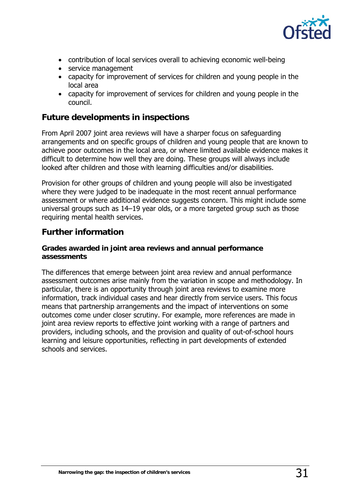

- contribution of local services overall to achieving economic well-being
- service management
- capacity for improvement of services for children and young people in the local area
- capacity for improvement of services for children and young people in the council.

### **Future developments in inspections**

From April 2007 joint area reviews will have a sharper focus on safeguarding arrangements and on specific groups of children and young people that are known to achieve poor outcomes in the local area, or where limited available evidence makes it difficult to determine how well they are doing. These groups will always include looked after children and those with learning difficulties and/or disabilities.

Provision for other groups of children and young people will also be investigated where they were judged to be inadequate in the most recent annual performance assessment or where additional evidence suggests concern. This might include some universal groups such as 14–19 year olds, or a more targeted group such as those requiring mental health services.

### **Further information**

### **Grades awarded in joint area reviews and annual performance assessments**

The differences that emerge between joint area review and annual performance assessment outcomes arise mainly from the variation in scope and methodology. In particular, there is an opportunity through joint area reviews to examine more information, track individual cases and hear directly from service users. This focus means that partnership arrangements and the impact of interventions on some outcomes come under closer scrutiny. For example, more references are made in joint area review reports to effective joint working with a range of partners and providers, including schools, and the provision and quality of out-of-school hours learning and leisure opportunities, reflecting in part developments of extended schools and services.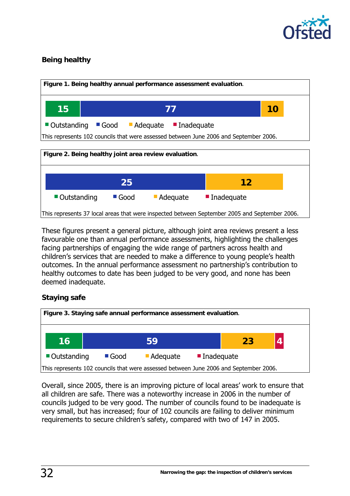

### **Being healthy**



These figures present a general picture, although joint area reviews present a less favourable one than annual performance assessments, highlighting the challenges facing partnerships of engaging the wide range of partners across health and children's services that are needed to make a difference to young people's health outcomes. In the annual performance assessment no partnership's contribution to healthy outcomes to date has been judged to be very good, and none has been deemed inadequate.

### **Staying safe**



Overall, since 2005, there is an improving picture of local areas' work to ensure that all children are safe. There was a noteworthy increase in 2006 in the number of councils judged to be very good. The number of councils found to be inadequate is very small, but has increased; four of 102 councils are failing to deliver minimum requirements to secure children's safety, compared with two of 147 in 2005.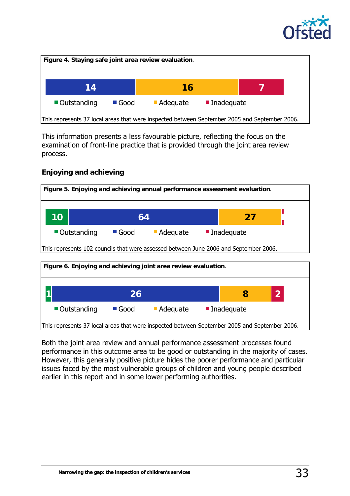



This information presents a less favourable picture, reflecting the focus on the examination of front-line practice that is provided through the joint area review process.

### **Enjoying and achieving**



Both the joint area review and annual performance assessment processes found performance in this outcome area to be good or outstanding in the majority of cases. However, this generally positive picture hides the poorer performance and particular issues faced by the most vulnerable groups of children and young people described earlier in this report and in some lower performing authorities.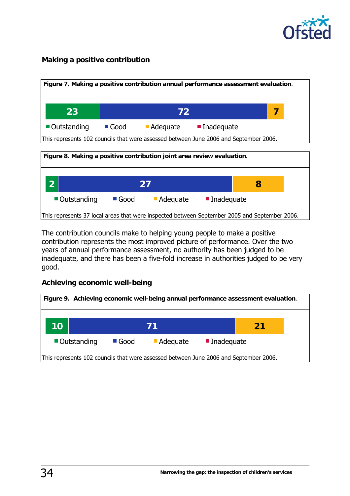

### **Making a positive contribution**



The contribution councils make to helping young people to make a positive contribution represents the most improved picture of performance. Over the two years of annual performance assessment, no authority has been judged to be inadequate, and there has been a five-fold increase in authorities judged to be very good.

### **Achieving economic well-being**

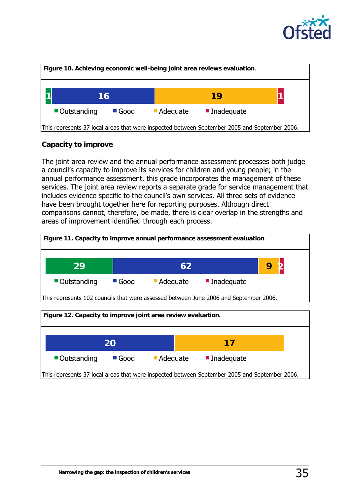



### **Capacity to improve**

The joint area review and the annual performance assessment processes both judge a council's capacity to improve its services for children and young people; in the annual performance assessment, this grade incorporates the management of these services. The joint area review reports a separate grade for service management that includes evidence specific to the council's own services. All three sets of evidence have been brought together here for reporting purposes. Although direct comparisons cannot, therefore, be made, there is clear overlap in the strengths and areas of improvement identified through each process.



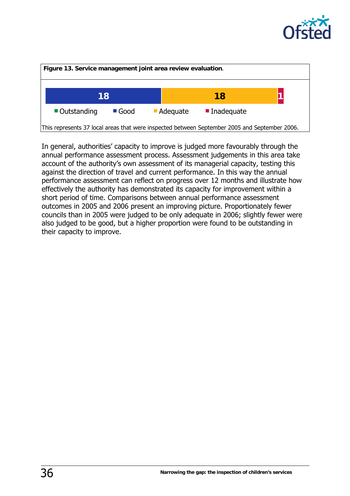



In general, authorities' capacity to improve is judged more favourably through the annual performance assessment process. Assessment judgements in this area take account of the authority's own assessment of its managerial capacity, testing this against the direction of travel and current performance. In this way the annual performance assessment can reflect on progress over 12 months and illustrate how effectively the authority has demonstrated its capacity for improvement within a short period of time. Comparisons between annual performance assessment outcomes in 2005 and 2006 present an improving picture. Proportionately fewer councils than in 2005 were judged to be only adequate in 2006; slightly fewer were also judged to be good, but a higher proportion were found to be outstanding in their capacity to improve.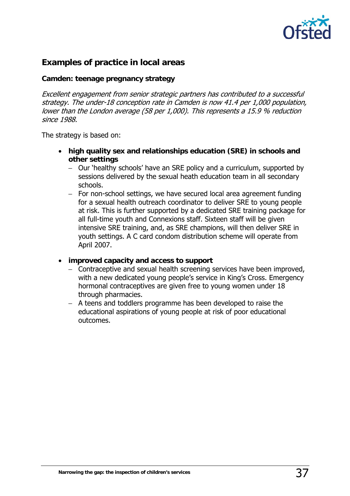

### **Examples of practice in local areas**

### **Camden: teenage pregnancy strategy**

Excellent engagement from senior strategic partners has contributed to a successful strategy. The under-18 conception rate in Camden is now 41.4 per 1,000 population, lower than the London average (58 per 1,000). This represents a 15.9 % reduction since 1988.

The strategy is based on:

- **high quality sex and relationships education (SRE) in schools and other settings** 
	- − Our 'healthy schools' have an SRE policy and a curriculum, supported by sessions delivered by the sexual heath education team in all secondary schools.
	- − For non-school settings, we have secured local area agreement funding for a sexual health outreach coordinator to deliver SRE to young people at risk. This is further supported by a dedicated SRE training package for all full-time youth and Connexions staff. Sixteen staff will be given intensive SRE training, and, as SRE champions, will then deliver SRE in youth settings. A C card condom distribution scheme will operate from April 2007.
- **improved capacity and access to support** 
	- − Contraceptive and sexual health screening services have been improved, with a new dedicated young people's service in King's Cross. Emergency hormonal contraceptives are given free to young women under 18 through pharmacies.
	- − A teens and toddlers programme has been developed to raise the educational aspirations of young people at risk of poor educational outcomes.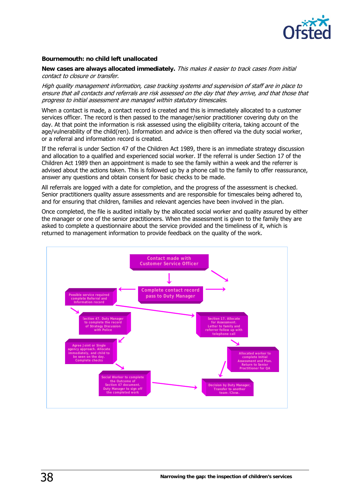

#### **Bournemouth: no child left unallocated**

**New cases are always allocated immediately.** This makes it easier to track cases from initial contact to closure or transfer.

High quality management information, case tracking systems and supervision of staff are in place to ensure that all contacts and referrals are risk assessed on the day that they arrive, and that those that progress to initial assessment are managed within statutory timescales.

When a contact is made, a contact record is created and this is immediately allocated to a customer services officer. The record is then passed to the manager/senior practitioner covering duty on the day. At that point the information is risk assessed using the eligibility criteria, taking account of the age/vulnerability of the child(ren). Information and advice is then offered via the duty social worker, or a referral and information record is created.

If the referral is under Section 47 of the Children Act 1989, there is an immediate strategy discussion and allocation to a qualified and experienced social worker. If the referral is under Section 17 of the Children Act 1989 then an appointment is made to see the family within a week and the referrer is advised about the actions taken. This is followed up by a phone call to the family to offer reassurance, answer any questions and obtain consent for basic checks to be made.

All referrals are logged with a date for completion, and the progress of the assessment is checked. Senior practitioners quality assure assessments and are responsible for timescales being adhered to, and for ensuring that children, families and relevant agencies have been involved in the plan.

Once completed, the file is audited initially by the allocated social worker and quality assured by either the manager or one of the senior practitioners. When the assessment is given to the family they are asked to complete a questionnaire about the service provided and the timeliness of it, which is returned to management information to provide feedback on the quality of the work.

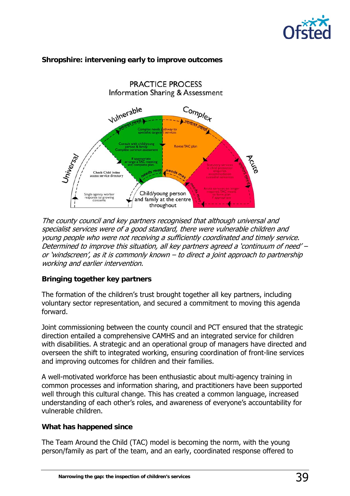

### **Shropshire: intervening early to improve outcomes**



The county council and key partners recognised that although universal and specialist services were of a good standard, there were vulnerable children and young people who were not receiving a sufficiently coordinated and timely service. Determined to improve this situation, all key partners agreed a 'continuum of need' – or 'windscreen', as it is commonly known – to direct a joint approach to partnership working and earlier intervention.

### **Bringing together key partners**

The formation of the children's trust brought together all key partners, including voluntary sector representation, and secured a commitment to moving this agenda forward.

Joint commissioning between the county council and PCT ensured that the strategic direction entailed a comprehensive CAMHS and an integrated service for children with disabilities. A strategic and an operational group of managers have directed and overseen the shift to integrated working, ensuring coordination of front-line services and improving outcomes for children and their families.

A well-motivated workforce has been enthusiastic about multi-agency training in common processes and information sharing, and practitioners have been supported well through this cultural change. This has created a common language, increased understanding of each other's roles, and awareness of everyone's accountability for vulnerable children.

### **What has happened since**

The Team Around the Child (TAC) model is becoming the norm, with the young person/family as part of the team, and an early, coordinated response offered to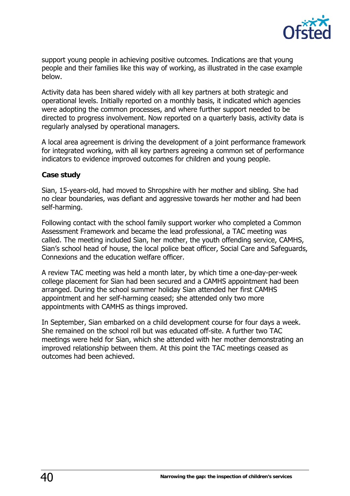

support young people in achieving positive outcomes. Indications are that young people and their families like this way of working, as illustrated in the case example below.

Activity data has been shared widely with all key partners at both strategic and operational levels. Initially reported on a monthly basis, it indicated which agencies were adopting the common processes, and where further support needed to be directed to progress involvement. Now reported on a quarterly basis, activity data is regularly analysed by operational managers.

A local area agreement is driving the development of a joint performance framework for integrated working, with all key partners agreeing a common set of performance indicators to evidence improved outcomes for children and young people.

#### **Case study**

Sian, 15-years-old, had moved to Shropshire with her mother and sibling. She had no clear boundaries, was defiant and aggressive towards her mother and had been self-harming.

Following contact with the school family support worker who completed a Common Assessment Framework and became the lead professional, a TAC meeting was called. The meeting included Sian, her mother, the youth offending service, CAMHS, Sian's school head of house, the local police beat officer, Social Care and Safeguards, Connexions and the education welfare officer.

A review TAC meeting was held a month later, by which time a one-day-per-week college placement for Sian had been secured and a CAMHS appointment had been arranged. During the school summer holiday Sian attended her first CAMHS appointment and her self-harming ceased; she attended only two more appointments with CAMHS as things improved.

In September, Sian embarked on a child development course for four days a week. She remained on the school roll but was educated off-site. A further two TAC meetings were held for Sian, which she attended with her mother demonstrating an improved relationship between them. At this point the TAC meetings ceased as outcomes had been achieved.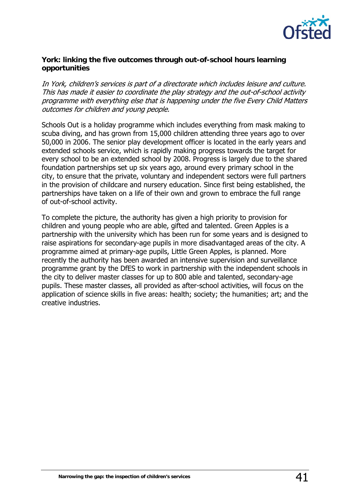

#### **York: linking the five outcomes through out-of-school hours learning opportunities**

In York, children's services is part of a directorate which includes leisure and culture. This has made it easier to coordinate the play strategy and the out-of-school activity programme with everything else that is happening under the five Every Child Matters outcomes for children and young people.

Schools Out is a holiday programme which includes everything from mask making to scuba diving, and has grown from 15,000 children attending three years ago to over 50,000 in 2006. The senior play development officer is located in the early years and extended schools service, which is rapidly making progress towards the target for every school to be an extended school by 2008. Progress is largely due to the shared foundation partnerships set up six years ago, around every primary school in the city, to ensure that the private, voluntary and independent sectors were full partners in the provision of childcare and nursery education. Since first being established, the partnerships have taken on a life of their own and grown to embrace the full range of out-of-school activity.

To complete the picture, the authority has given a high priority to provision for children and young people who are able, gifted and talented. Green Apples is a partnership with the university which has been run for some years and is designed to raise aspirations for secondary-age pupils in more disadvantaged areas of the city. A programme aimed at primary-age pupils, Little Green Apples, is planned. More recently the authority has been awarded an intensive supervision and surveillance programme grant by the DfES to work in partnership with the independent schools in the city to deliver master classes for up to 800 able and talented, secondary-age pupils. These master classes, all provided as after-school activities, will focus on the application of science skills in five areas: health; society; the humanities; art; and the creative industries.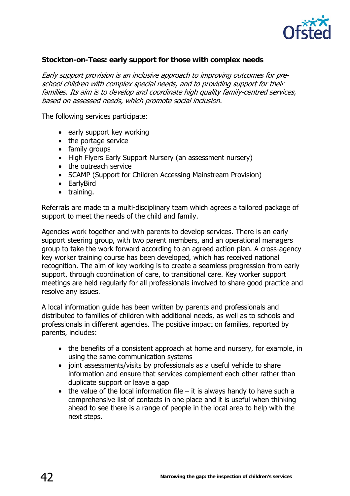

### **Stockton-on-Tees: early support for those with complex needs**

Early support provision is an inclusive approach to improving outcomes for preschool children with complex special needs, and to providing support for their families. Its aim is to develop and coordinate high quality family-centred services, based on assessed needs, which promote social inclusion.

The following services participate:

- early support key working
- the portage service
- family groups
- High Flyers Early Support Nursery (an assessment nursery)
- the outreach service
- SCAMP (Support for Children Accessing Mainstream Provision)
- EarlyBird
- training.

Referrals are made to a multi-disciplinary team which agrees a tailored package of support to meet the needs of the child and family.

Agencies work together and with parents to develop services. There is an early support steering group, with two parent members, and an operational managers group to take the work forward according to an agreed action plan. A cross-agency key worker training course has been developed, which has received national recognition. The aim of key working is to create a seamless progression from early support, through coordination of care, to transitional care. Key worker support meetings are held regularly for all professionals involved to share good practice and resolve any issues.

A local information guide has been written by parents and professionals and distributed to families of children with additional needs, as well as to schools and professionals in different agencies. The positive impact on families, reported by parents, includes:

- the benefits of a consistent approach at home and nursery, for example, in using the same communication systems
- joint assessments/visits by professionals as a useful vehicle to share information and ensure that services complement each other rather than duplicate support or leave a gap
- the value of the local information file  $-$  it is always handy to have such a comprehensive list of contacts in one place and it is useful when thinking ahead to see there is a range of people in the local area to help with the next steps.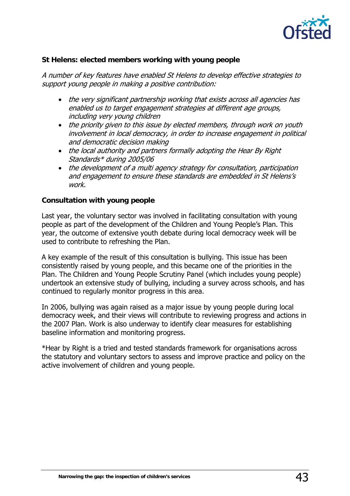

#### **St Helens: elected members working with young people**

A number of key features have enabled St Helens to develop effective strategies to support young people in making a positive contribution:

- the very significant partnership working that exists across all agencies has enabled us to target engagement strategies at different age groups, including very young children
- the priority given to this issue by elected members, through work on youth involvement in local democracy, in order to increase engagement in political and democratic decision making
- the local authority and partners formally adopting the Hear By Right Standards\* during 2005/06
- the development of a multi agency strategy for consultation, participation and engagement to ensure these standards are embedded in St Helens's work.

#### **Consultation with young people**

Last year, the voluntary sector was involved in facilitating consultation with young people as part of the development of the Children and Young People's Plan. This year, the outcome of extensive youth debate during local democracy week will be used to contribute to refreshing the Plan.

A key example of the result of this consultation is bullying. This issue has been consistently raised by young people, and this became one of the priorities in the Plan. The Children and Young People Scrutiny Panel (which includes young people) undertook an extensive study of bullying, including a survey across schools, and has continued to regularly monitor progress in this area.

In 2006, bullying was again raised as a major issue by young people during local democracy week, and their views will contribute to reviewing progress and actions in the 2007 Plan. Work is also underway to identify clear measures for establishing baseline information and monitoring progress.

\*Hear by Right is a tried and tested standards framework for organisations across the statutory and voluntary sectors to assess and improve practice and policy on the active involvement of children and young people.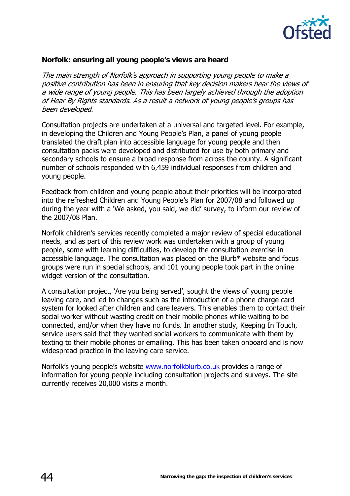

#### **Norfolk: ensuring all young people's views are heard**

The main strength of Norfolk's approach in supporting young people to make a positive contribution has been in ensuring that key decision makers hear the views of a wide range of young people. This has been largely achieved through the adoption of Hear By Rights standards. As a result a network of young people's groups has been developed.

Consultation projects are undertaken at a universal and targeted level. For example, in developing the Children and Young People's Plan, a panel of young people translated the draft plan into accessible language for young people and then consultation packs were developed and distributed for use by both primary and secondary schools to ensure a broad response from across the county. A significant number of schools responded with 6,459 individual responses from children and young people.

Feedback from children and young people about their priorities will be incorporated into the refreshed Children and Young People's Plan for 2007/08 and followed up during the year with a 'We asked, you said, we did' survey, to inform our review of the 2007/08 Plan.

Norfolk children's services recently completed a major review of special educational needs, and as part of this review work was undertaken with a group of young people, some with learning difficulties, to develop the consultation exercise in accessible language. The consultation was placed on the Blurb\* website and focus groups were run in special schools, and 101 young people took part in the online widget version of the consultation.

A consultation project, 'Are you being served', sought the views of young people leaving care, and led to changes such as the introduction of a phone charge card system for looked after children and care leavers. This enables them to contact their social worker without wasting credit on their mobile phones while waiting to be connected, and/or when they have no funds. In another study, Keeping In Touch, service users said that they wanted social workers to communicate with them by texting to their mobile phones or emailing. This has been taken onboard and is now widespread practice in the leaving care service.

Norfolk's young people's website www.norfolkblurb.co.uk provides a range of information for young people including consultation projects and surveys. The site currently receives 20,000 visits a month.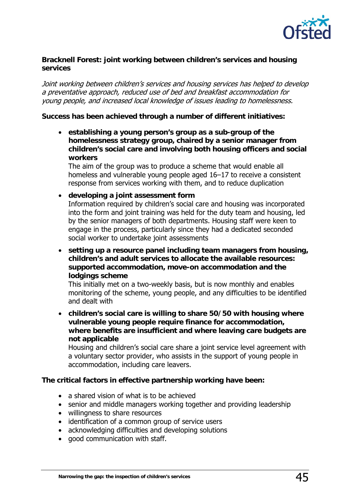

### **Bracknell Forest: joint working between children's services and housing services**

Joint working between children's services and housing services has helped to develop a preventative approach, reduced use of bed and breakfast accommodation for young people, and increased local knowledge of issues leading to homelessness.

#### **Success has been achieved through a number of different initiatives:**

• **establishing a young person's group as a sub-group of the homelessness strategy group, chaired by a senior manager from children's social care and involving both housing officers and social workers** 

The aim of the group was to produce a scheme that would enable all homeless and vulnerable young people aged 16–17 to receive a consistent response from services working with them, and to reduce duplication

• **developing a joint assessment form**

Information required by children's social care and housing was incorporated into the form and joint training was held for the duty team and housing, led by the senior managers of both departments. Housing staff were keen to engage in the process, particularly since they had a dedicated seconded social worker to undertake joint assessments

• **setting up a resource panel including team managers from housing, children's and adult services to allocate the available resources: supported accommodation, move-on accommodation and the lodgings scheme** 

This initially met on a two-weekly basis, but is now monthly and enables monitoring of the scheme, young people, and any difficulties to be identified and dealt with

• **children's social care is willing to share 50/50 with housing where vulnerable young people require finance for accommodation, where benefits are insufficient and where leaving care budgets are not applicable** 

Housing and children's social care share a joint service level agreement with a voluntary sector provider, who assists in the support of young people in accommodation, including care leavers.

#### **The critical factors in effective partnership working have been:**

- a shared vision of what is to be achieved
- senior and middle managers working together and providing leadership
- willingness to share resources
- identification of a common group of service users
- acknowledging difficulties and developing solutions
- good communication with staff.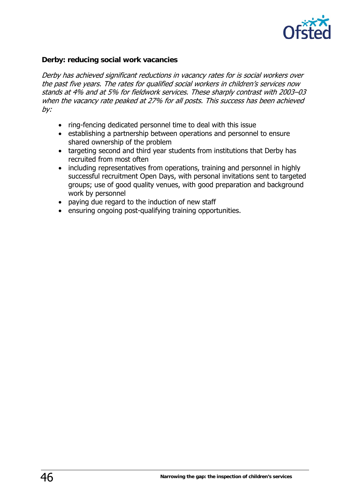

#### **Derby: reducing social work vacancies**

Derby has achieved significant reductions in vacancy rates for is social workers over the past five years. The rates for qualified social workers in children's services now stands at 4% and at 5% for fieldwork services. These sharply contrast with 2003–03 when the vacancy rate peaked at 27% for all posts. This success has been achieved by:

- ring-fencing dedicated personnel time to deal with this issue
- establishing a partnership between operations and personnel to ensure shared ownership of the problem
- targeting second and third year students from institutions that Derby has recruited from most often
- including representatives from operations, training and personnel in highly successful recruitment Open Days, with personal invitations sent to targeted groups; use of good quality venues, with good preparation and background work by personnel
- paying due regard to the induction of new staff
- ensuring ongoing post-qualifying training opportunities.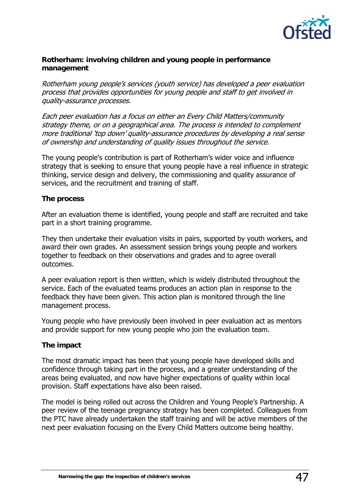

### **Rotherham: involving children and young people in performance management**

Rotherham young people's services (youth service) has developed a peer evaluation process that provides opportunities for young people and staff to get involved in quality-assurance processes.

Each peer evaluation has a focus on either an Every Child Matters/community strategy theme, or on a geographical area. The process is intended to complement more traditional 'top down' quality-assurance procedures by developing a real sense of ownership and understanding of quality issues throughout the service.

The young people's contribution is part of Rotherham's wider voice and influence strategy that is seeking to ensure that young people have a real influence in strategic thinking, service design and delivery, the commissioning and quality assurance of services, and the recruitment and training of staff.

### **The process**

After an evaluation theme is identified, young people and staff are recruited and take part in a short training programme.

They then undertake their evaluation visits in pairs, supported by youth workers, and award their own grades. An assessment session brings young people and workers together to feedback on their observations and grades and to agree overall outcomes.

A peer evaluation report is then written, which is widely distributed throughout the service. Each of the evaluated teams produces an action plan in response to the feedback they have been given. This action plan is monitored through the line management process.

Young people who have previously been involved in peer evaluation act as mentors and provide support for new young people who join the evaluation team.

#### **The impact**

The most dramatic impact has been that young people have developed skills and confidence through taking part in the process, and a greater understanding of the areas being evaluated, and now have higher expectations of quality within local provision. Staff expectations have also been raised.

The model is being rolled out across the Children and Young People's Partnership. A peer review of the teenage pregnancy strategy has been completed. Colleagues from the PTC have already undertaken the staff training and will be active members of the next peer evaluation focusing on the Every Child Matters outcome being healthy.